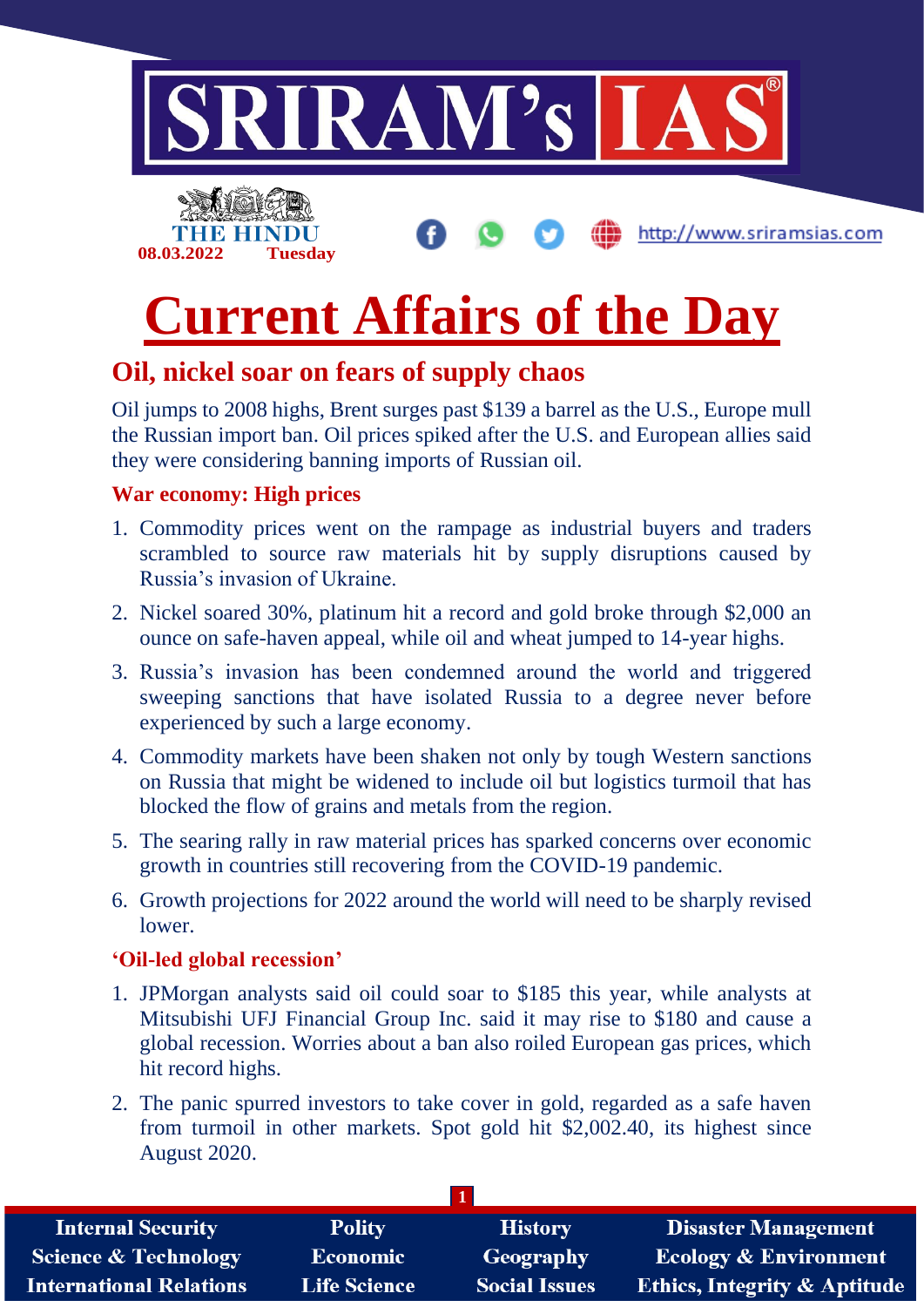

## **Current Affairs of the Day**

### **Oil, nickel soar on fears of supply chaos**

Oil jumps to 2008 highs, Brent surges past \$139 a barrel as the U.S., Europe mull the Russian import ban. Oil prices spiked after the U.S. and European allies said they were considering banning imports of Russian oil.

### **War economy: High prices**

- 1. Commodity prices went on the rampage as industrial buyers and traders scrambled to source raw materials hit by supply disruptions caused by Russia's invasion of Ukraine.
- 2. Nickel soared 30%, platinum hit a record and gold broke through \$2,000 an ounce on safe-haven appeal, while oil and wheat jumped to 14-year highs.
- 3. Russia's invasion has been condemned around the world and triggered sweeping sanctions that have isolated Russia to a degree never before experienced by such a large economy.
- 4. Commodity markets have been shaken not only by tough Western sanctions on Russia that might be widened to include oil but logistics turmoil that has blocked the flow of grains and metals from the region.
- 5. The searing rally in raw material prices has sparked concerns over economic growth in countries still recovering from the COVID-19 pandemic.
- 6. Growth projections for 2022 around the world will need to be sharply revised lower.

### **'Oil-led global recession'**

- 1. JPMorgan analysts said oil could soar to \$185 this year, while analysts at Mitsubishi UFJ Financial Group Inc. said it may rise to \$180 and cause a global recession. Worries about a ban also roiled European gas prices, which hit record highs.
- 2. The panic spurred investors to take cover in gold, regarded as a safe haven from turmoil in other markets. Spot gold hit \$2,002.40, its highest since August 2020.

| <b>Internal Security</b>        | <b>Polity</b>       | <b>History</b>       | <b>Disaster Management</b>              |
|---------------------------------|---------------------|----------------------|-----------------------------------------|
| <b>Science &amp; Technology</b> | <b>Economic</b>     | Geography            | <b>Ecology &amp; Environment</b>        |
| <b>International Relations</b>  | <b>Life Science</b> | <b>Social Issues</b> | <b>Ethics, Integrity &amp; Aptitude</b> |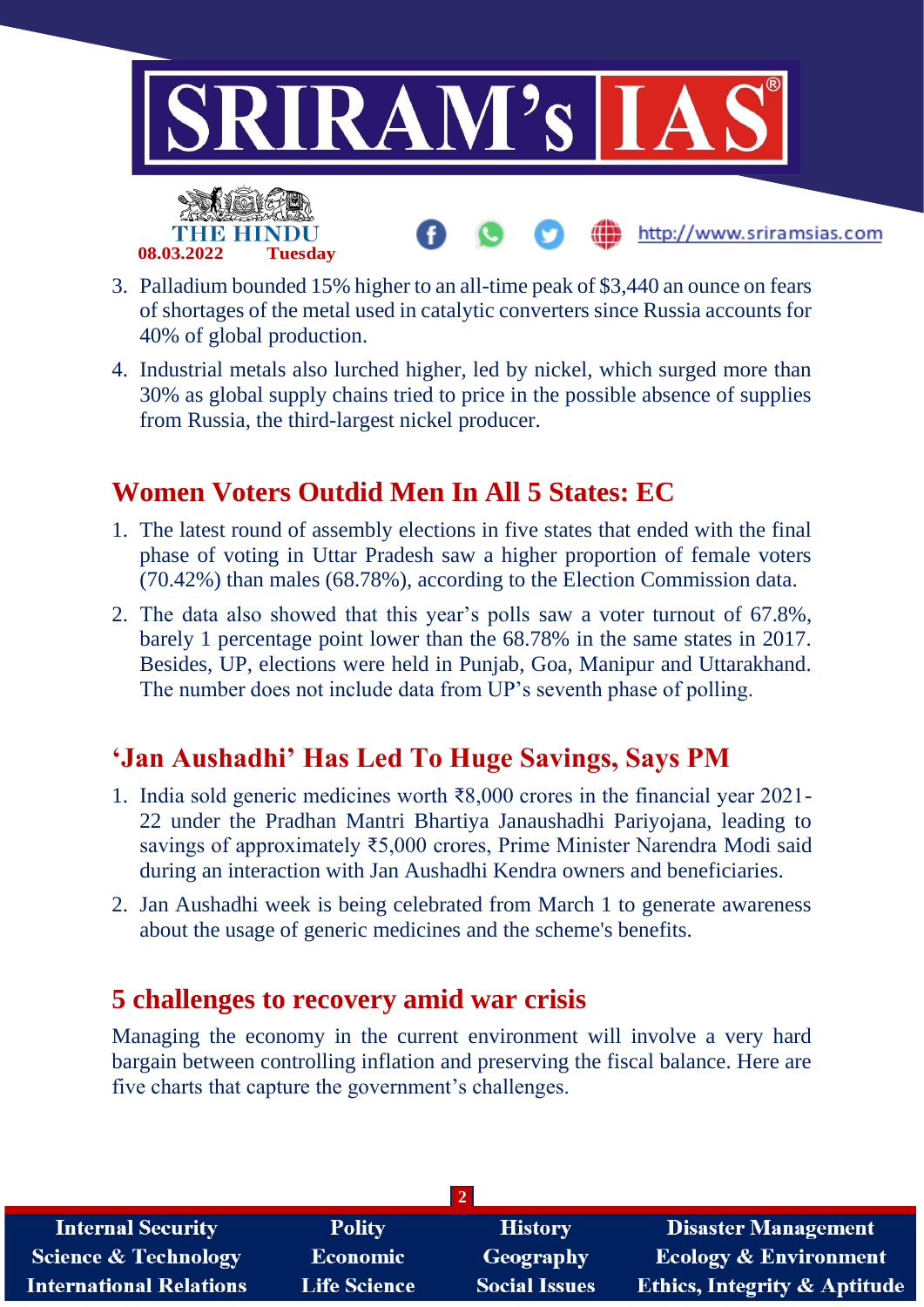

- 3. Palladium bounded 15% higher to an all-time peak of \$3,440 an ounce on fears of shortages of the metal used in catalytic converters since Russia accounts for 40% of global production.
- 4. Industrial metals also lurched higher, led by nickel, which surged more than 30% as global supply chains tried to price in the possible absence of supplies from Russia, the third-largest nickel producer.

### **Women Voters Outdid Men In All 5 States: EC**

- 1. The latest round of assembly elections in five states that ended with the final phase of voting in Uttar Pradesh saw a higher proportion of female voters (70.42%) than males (68.78%), according to the Election Commission data.
- 2. The data also showed that this year's polls saw a voter turnout of 67.8%, barely 1 percentage point lower than the 68.78% in the same states in 2017. Besides, UP, elections were held in Punjab, Goa, Manipur and Uttarakhand. The number does not include data from UP's seventh phase of polling.

### **'Jan Aushadhi' Has Led To Huge Savings, Says PM**

- 1. India sold generic medicines worth ₹8,000 crores in the financial year 2021- 22 under the Pradhan Mantri Bhartiya Janaushadhi Pariyojana, leading to savings of approximately ₹5,000 crores, Prime Minister Narendra Modi said during an interaction with Jan Aushadhi Kendra owners and beneficiaries.
- 2. Jan Aushadhi week is being celebrated from March 1 to generate awareness about the usage of generic medicines and the scheme's benefits.

### **5 challenges to recovery amid war crisis**

Managing the economy in the current environment will involve a very hard bargain between controlling inflation and preserving the fiscal balance. Here are five charts that capture the government's challenges.

| <b>Internal Security</b>        | <b>Polity</b>       | <b>History</b>       | <b>Disaster Management</b>              |  |  |  |
|---------------------------------|---------------------|----------------------|-----------------------------------------|--|--|--|
| <b>Science &amp; Technology</b> | <b>Economic</b>     | Geography            | <b>Ecology &amp; Environment</b>        |  |  |  |
| <b>International Relations</b>  | <b>Life Science</b> | <b>Social Issues</b> | <b>Ethics, Integrity &amp; Aptitude</b> |  |  |  |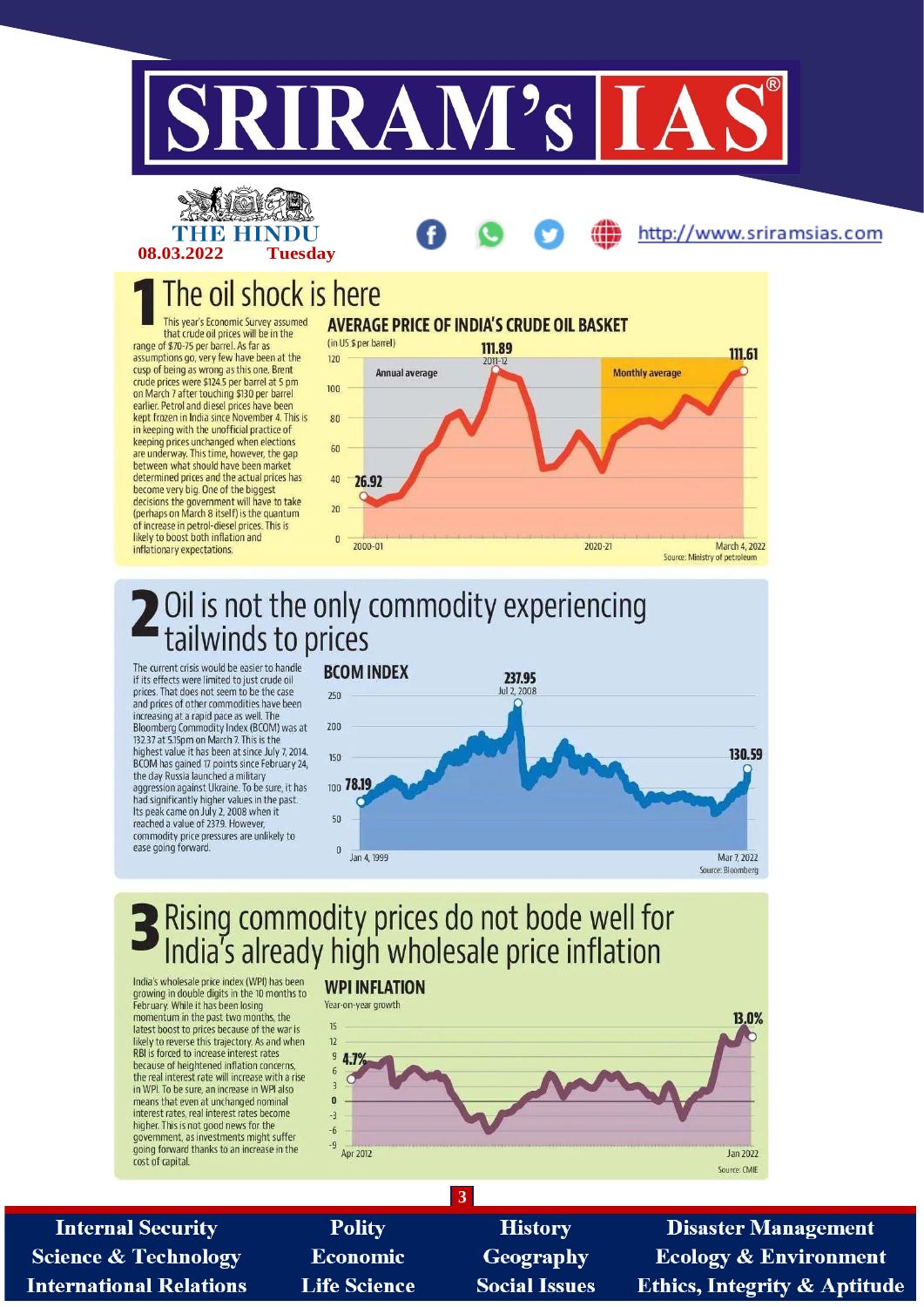





### The oil shock is here

This year's Economic Survey assumed that crude oil prices will be in the range of \$70-75 per barrel. As far as assumptions go, very few have been at the cusp of being as wrong as this one. Brent crude prices were \$124.5 per barrel at 5 pm<br>on March 7 after touching \$130 per barrel at 5 pm<br>earlier. Petrol and diesel prices have been kept frozen in India since November 4. This is in keeping with the unofficial practice of keeping prices unchanged when elections are underway. This time, however, the gap between what should have been market determined prices and the actual prices has become very big. One of the biggest decisions the government will have to take (perhaps on March 8 itself) is the quantum of increase in petrol-diesel prices. This is<br>likely to boost both inflation and inflationary expectations.



## Oil is not the only commodity experiencing<br>tailwinds to prices

The current crisis would be easier to handle if its effects were limited to just crude oil prices. That does not seem to be the case and prices of other commodities have been increasing at a rapid pace as well. The Bloomberg Commodity Index (BCOM) was at 132.37 at 5.15pm on March 7. This is the highest value it has been at since July 7, 2014 BCOM has gained 17 points since February 24. the day Russia launched a military aggression against Ukraine. To be sure, it has had significantly higher values in the past.<br>Its peak came on July 2, 2008 when it reached a value of 237.9. However, commodity price pressures are unlikely to ease going forward.



# Rising commodity prices do not bode well for<br>India's already high wholesale price inflation

India's wholesale price index (WPI) has been growing in double digits in the 10 months to February. While it has been losing momentum in the past two months, the latest boost to prices because of the war is likely to reverse this trajectory. As and when RBI is forced to increase interest rates because of heightened inflation concerns,<br>the real interest rate will increase with a rise in WPI. To be sure, an increase in WPI also means that even at unchanged nominal interest rates, real interest rates become higher. This is not good news for the government, as investments might suffer going forward thanks to an increase in the cost of capital.

### **WPI INFLATION**



**Internal Security Science & Technology International Relations** 

**Polity Economic Life Science** 

**History** Geography **Social Issues** 

 $\overline{3}$ 

**Disaster Management Ecology & Environment Ethics, Integrity & Aptitude**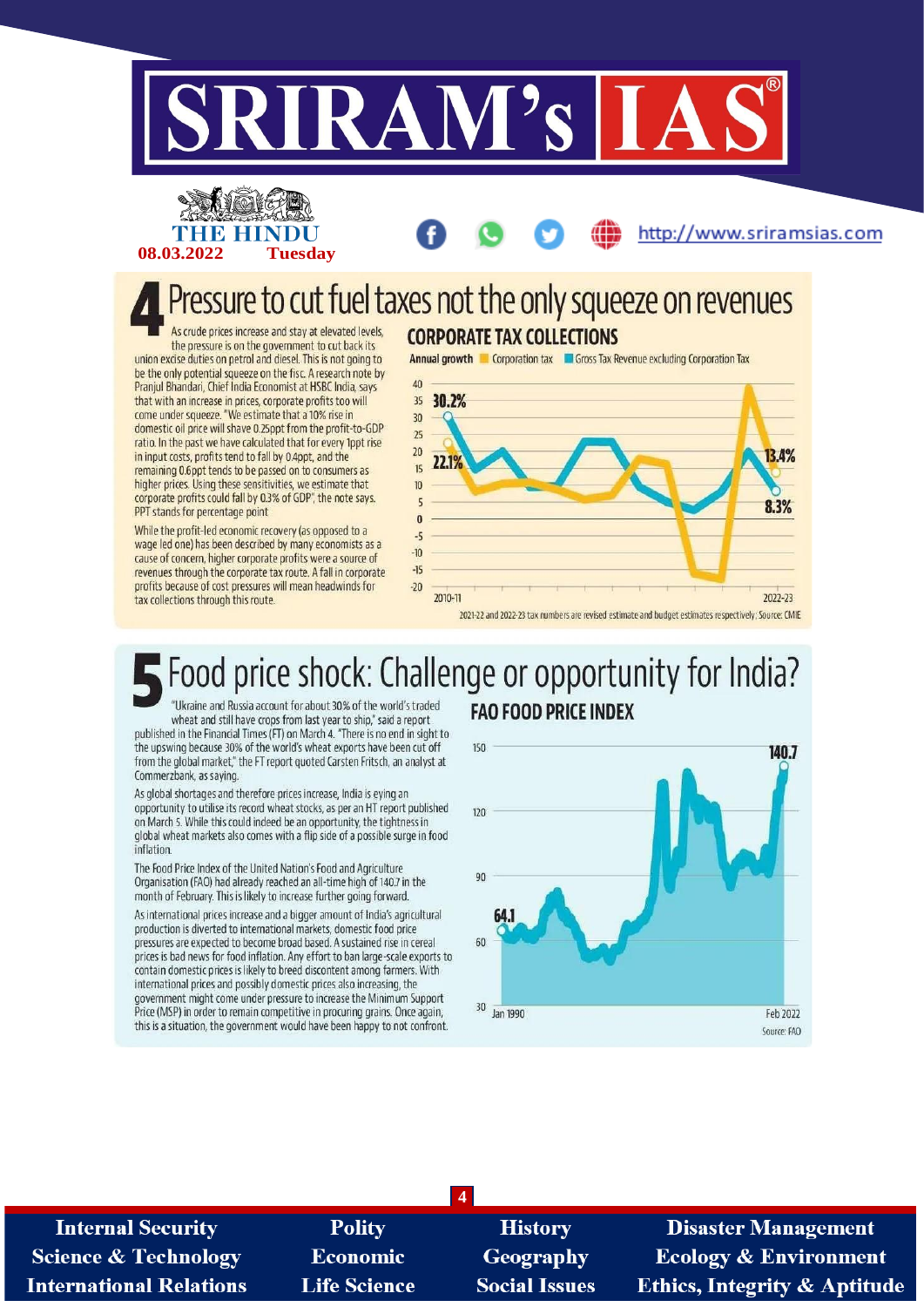

## Pressure to cut fuel taxes not the only squeeze on revenues

As crude prices increase and stay at elevated levels, the pressure is on the government to cut back its union excise duties on petrol and diesel. This is not going to be the only potential squeeze on the fisc. A research note by Pranjul Bhandari, Chief India Economist at HSBC India, says that with an increase in prices, corporate profits too will come under squeeze. "We estimate that a 10% rise in domestic oil price will shave 0.25ppt from the profit-to-GDP ratio. In the past we have calculated that for every 1ppt rise in input costs, profits tend to fall by 0.4ppt, and the remaining 0.6ppt tends to be passed on to consumers as higher prices. Using these sensitivities, we estimate that corporate profits could fall by 0.3% of GDP", the note says. PPT stands for percentage point

E HIND

08.03.2022

**Tuesday** 

While the profit-led economic recovery (as opposed to a wage led one) has been described by many economists as a cause of concern, higher corporate profits were a source of revenues through the corporate tax route. A fall in corporate profits because of cost pressures will mean headwinds for tax collections through this route.

### **CORPORATE TAX COLLECTIONS**

**Annual growth Corporation tax Corporation Corporation Tax** 

http://www.sriramsias.com



#### Food price shock: Challenge or opportunity for India? "Ukraine and Russia account for about 30% of the world's traded **FAO FOOD PRICE INDEX**

wheat and still have crops from last year to ship," said a report published in the Financial Times (FT) on March 4. "There is no end in sight to the upswing because 30% of the world's wheat exports have been cut off from the global market," the FT report quoted Carsten Fritsch, an analyst at Commerzbank, as saying

As alobal shortages and therefore prices increase, India is eving an opportunity to utilise its record wheat stocks, as per an HT report published on March 5. While this could indeed be an opportunity, the tightness in global wheat markets also comes with a flip side of a possible surge in food inflation

The Food Price Index of the United Nation's Food and Agriculture Organisation (FAO) had already reached an all-time high of 140.7 in the month of February. This is likely to increase further going forward.

As international prices increase and a bigger amount of India's agricultural production is diverted to international markets, domestic food price pressures are expected to become broad based. A sustained rise in cereal prices is bad news for food inflation. Any effort to ban large-scale exports to contain domestic prices is likely to breed discontent among farmers. With international prices and possibly domestic prices also increasing, the government might come under pressure to increase the Minimum Support Price (MSP) in order to remain competitive in procuring grains. Once again, this is a situation, the government would have been happy to not confront.



| <b>Internal Security</b>        | <b>Polity</b>       | <b>History</b>       | <b>Disaster Management</b>              |
|---------------------------------|---------------------|----------------------|-----------------------------------------|
| <b>Science &amp; Technology</b> | <b>Economic</b>     | Geography            | <b>Ecology &amp; Environment</b>        |
| <b>International Relations</b>  | <b>Life Science</b> | <b>Social Issues</b> | <b>Ethics, Integrity &amp; Aptitude</b> |